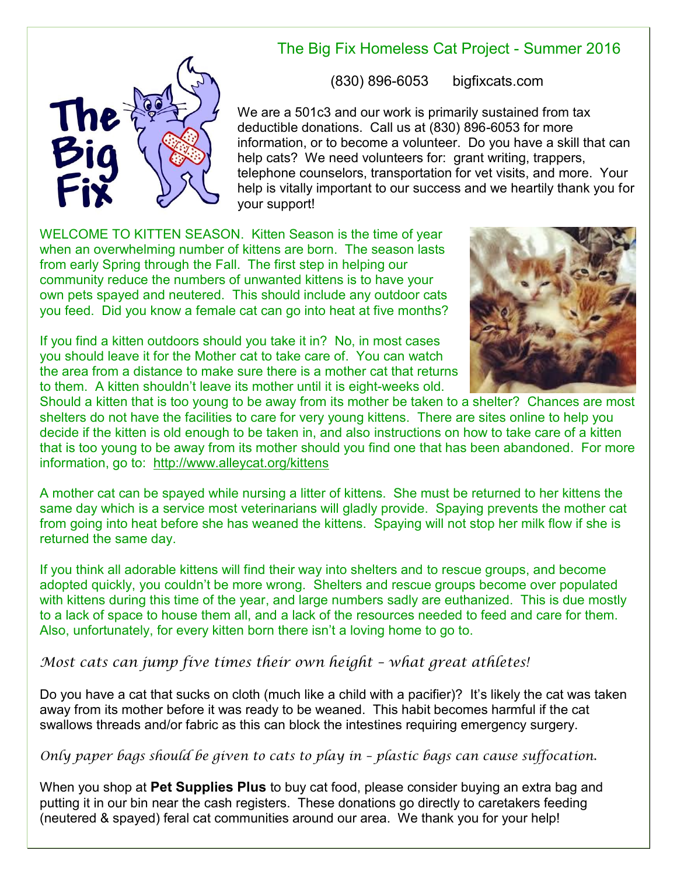

## The Big Fix Homeless Cat Project - Summer 2016

(830) 896-6053 bigfixcats.com

We are a 501c3 and our work is primarily sustained from tax deductible donations. Call us at (830) 896-6053 for more information, or to become a volunteer. Do you have a skill that can help cats? We need volunteers for: grant writing, trappers, telephone counselors, transportation for vet visits, and more. Your help is vitally important to our success and we heartily thank you for your support!

WELCOME TO KITTEN SEASON. Kitten Season is the time of year when an overwhelming number of kittens are born. The season lasts from early Spring through the Fall. The first step in helping our community reduce the numbers of unwanted kittens is to have your own pets spayed and neutered. This should include any outdoor cats you feed. Did you know a female cat can go into heat at five months?

If you find a kitten outdoors should you take it in? No, in most cases you should leave it for the Mother cat to take care of. You can watch the area from a distance to make sure there is a mother cat that returns to them. A kitten shouldn't leave its mother until it is eight-weeks old.



Should a kitten that is too young to be away from its mother be taken to a shelter? Chances are most shelters do not have the facilities to care for very young kittens. There are sites online to help you decide if the kitten is old enough to be taken in, and also instructions on how to take care of a kitten that is too young to be away from its mother should you find one that has been abandoned. For more information, go to: <http://www.alleycat.org/kittens>

A mother cat can be spayed while nursing a litter of kittens. She must be returned to her kittens the same day which is a service most veterinarians will gladly provide. Spaying prevents the mother cat from going into heat before she has weaned the kittens. Spaying will not stop her milk flow if she is returned the same day.

If you think all adorable kittens will find their way into shelters and to rescue groups, and become adopted quickly, you couldn't be more wrong. Shelters and rescue groups become over populated with kittens during this time of the year, and large numbers sadly are euthanized. This is due mostly to a lack of space to house them all, and a lack of the resources needed to feed and care for them. Also, unfortunately, for every kitten born there isn't a loving home to go to.

*Most cats can jump five times their own height – what great athletes!* 

Do you have a cat that sucks on cloth (much like a child with a pacifier)? It's likely the cat was taken away from its mother before it was ready to be weaned. This habit becomes harmful if the cat swallows threads and/or fabric as this can block the intestines requiring emergency surgery.

## *Only paper bags should be given to cats to play in – plastic bags can cause suffocation.*

When you shop at **Pet Supplies Plus** to buy cat food, please consider buying an extra bag and putting it in our bin near the cash registers. These donations go directly to caretakers feeding (neutered & spayed) feral cat communities around our area. We thank you for your help!